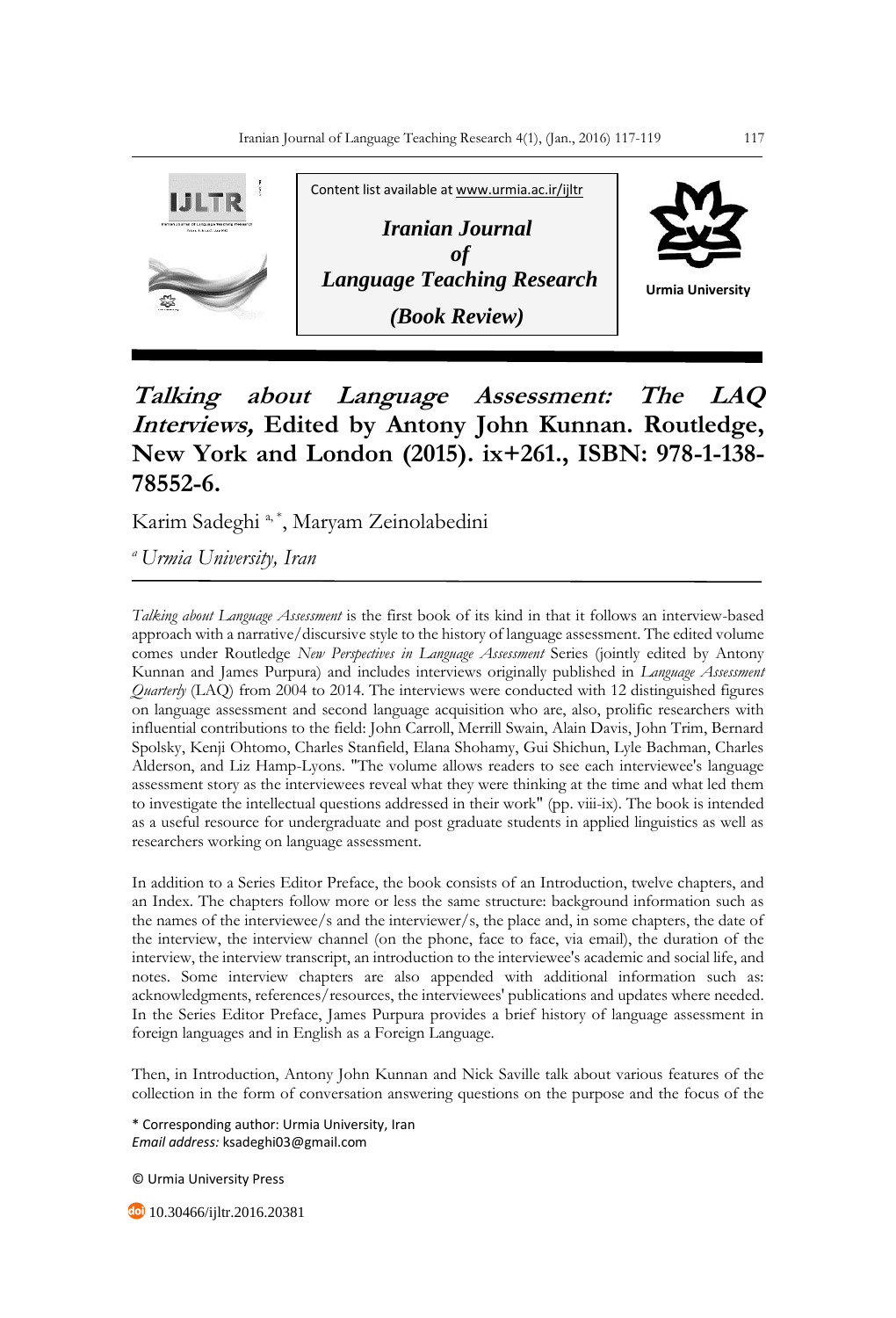

## **Talking about Language Assessment: The LAQ Interviews, Edited by Antony John Kunnan. Routledge, New York and London (2015). ix+261., ISBN: 978-1-138- 78552-6.**

Karim Sadeghi<sup>a,\*</sup>, Maryam Zeinolabedini

*<sup>a</sup>Urmia University, Iran*

*Talking about Language Assessment* is the first book of its kind in that it follows an interview-based approach with a narrative/discursive style to the history of language assessment. The edited volume comes under Routledge *New Perspectives in Language Assessment* Series (jointly edited by Antony Kunnan and James Purpura) and includes interviews originally published in *Language Assessment Quarterly* (LAQ) from 2004 to 2014. The interviews were conducted with 12 distinguished figures on language assessment and second language acquisition who are, also, prolific researchers with influential contributions to the field: John Carroll, Merrill Swain, Alain Davis, John Trim, Bernard Spolsky, Kenji Ohtomo, Charles Stanfield, Elana Shohamy, Gui Shichun, Lyle Bachman, Charles Alderson, and Liz Hamp-Lyons. "The volume allows readers to see each interviewee's language assessment story as the interviewees reveal what they were thinking at the time and what led them to investigate the intellectual questions addressed in their work" (pp. viii-ix). The book is intended as a useful resource for undergraduate and post graduate students in applied linguistics as well as researchers working on language assessment.

In addition to a Series Editor Preface, the book consists of an Introduction, twelve chapters, and an Index. The chapters follow more or less the same structure: background information such as the names of the interviewee/s and the interviewer/s, the place and, in some chapters, the date of the interview, the interview channel (on the phone, face to face, via email), the duration of the interview, the interview transcript, an introduction to the interviewee's academic and social life, and notes. Some interview chapters are also appended with additional information such as: acknowledgments, references/resources, the interviewees' publications and updates where needed. In the Series Editor Preface, James Purpura provides a brief history of language assessment in foreign languages and in English as a Foreign Language.

Then, in Introduction, Antony John Kunnan and Nick Saville talk about various features of the collection in the form of conversation answering questions on the purpose and the focus of the

\* Corresponding author: Urmia University, Iran *Email address:* ksadeghi03@gmail.com

© Urmia University Press

10.30466/ijltr.2016.20381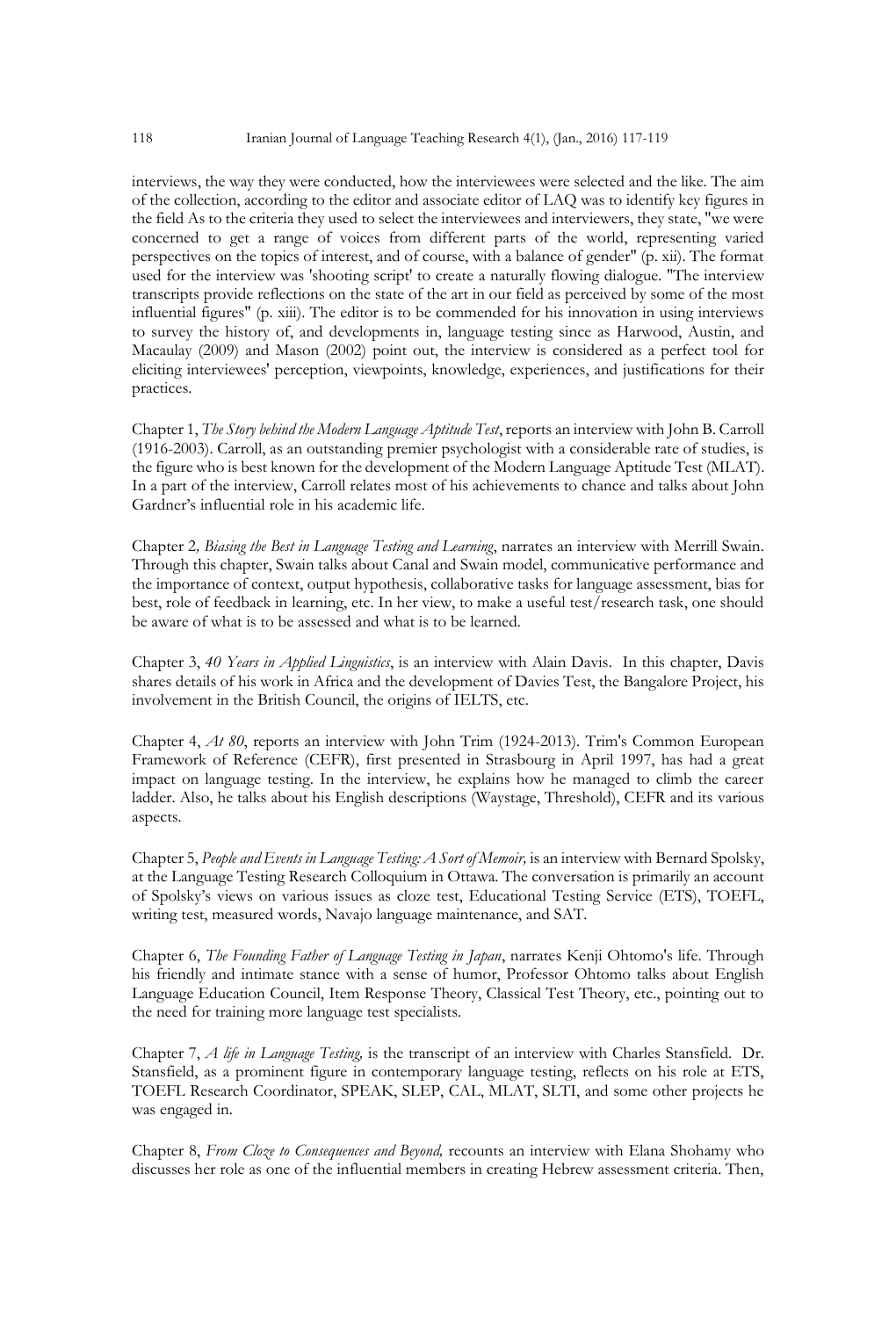interviews, the way they were conducted, how the interviewees were selected and the like. The aim of the collection, according to the editor and associate editor of LAQ was to identify key figures in the field As to the criteria they used to select the interviewees and interviewers, they state, "we were concerned to get a range of voices from different parts of the world, representing varied perspectives on the topics of interest, and of course, with a balance of gender" (p. xii). The format used for the interview was 'shooting script' to create a naturally flowing dialogue. "The interview transcripts provide reflections on the state of the art in our field as perceived by some of the most influential figures" (p. xiii). The editor is to be commended for his innovation in using interviews to survey the history of, and developments in, language testing since as Harwood, Austin, and Macaulay (2009) and Mason (2002) point out, the interview is considered as a perfect tool for eliciting interviewees' perception, viewpoints, knowledge, experiences, and justifications for their practices.

Chapter 1, *The Story behind the Modern Language Aptitude Test*, reports an interview with John B. Carroll (1916-2003). Carroll, as an outstanding premier psychologist with a considerable rate of studies, is the figure who is best known for the development of the Modern Language Aptitude Test (MLAT). In a part of the interview, Carroll relates most of his achievements to chance and talks about John Gardner's influential role in his academic life.

Chapter 2*, Biasing the Best in Language Testing and Learning*, narrates an interview with Merrill Swain. Through this chapter, Swain talks about Canal and Swain model, communicative performance and the importance of context, output hypothesis, collaborative tasks for language assessment, bias for best, role of feedback in learning, etc. In her view, to make a useful test/research task, one should be aware of what is to be assessed and what is to be learned.

Chapter 3, *40 Years in Applied Linguistics*, is an interview with Alain Davis. In this chapter, Davis shares details of his work in Africa and the development of Davies Test, the Bangalore Project, his involvement in the British Council, the origins of IELTS, etc.

Chapter 4, *At 80*, reports an interview with John Trim (1924-2013). Trim's Common European Framework of Reference (CEFR), first presented in Strasbourg in April 1997, has had a great impact on language testing. In the interview, he explains how he managed to climb the career ladder. Also, he talks about his English descriptions (Waystage, Threshold), CEFR and its various aspects.

Chapter 5, *People and Events in Language Testing: A Sort of Memoir,* is an interview with Bernard Spolsky, at the Language Testing Research Colloquium in Ottawa. The conversation is primarily an account of Spolsky's views on various issues as cloze test, Educational Testing Service (ETS), TOEFL, writing test, measured words, Navajo language maintenance, and SAT.

Chapter 6, *The Founding Father of Language Testing in Japan*, narrates Kenji Ohtomo's life. Through his friendly and intimate stance with a sense of humor, Professor Ohtomo talks about English Language Education Council, Item Response Theory, Classical Test Theory, etc., pointing out to the need for training more language test specialists.

Chapter 7, *A life in Language Testing,* is the transcript of an interview with Charles Stansfield. Dr. Stansfield, as a prominent figure in contemporary language testing, reflects on his role at ETS, TOEFL Research Coordinator, SPEAK, SLEP, CAL, MLAT, SLTI, and some other projects he was engaged in.

Chapter 8, *From Cloze to Consequences and Beyond,* recounts an interview with Elana Shohamy who discusses her role as one of the influential members in creating Hebrew assessment criteria. Then,